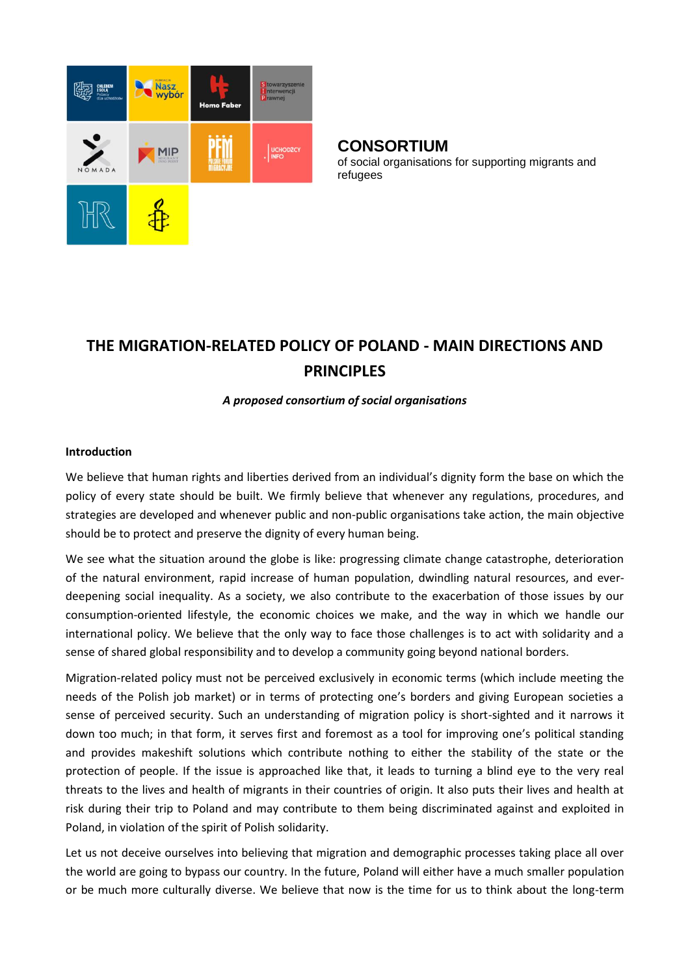

## **CONSORTIUM**

of social organisations for supporting migrants and refugees

# **THE MIGRATION-RELATED POLICY OF POLAND - MAIN DIRECTIONS AND PRINCIPLES**

## *A proposed consortium of social organisations*

#### **Introduction**

We believe that human rights and liberties derived from an individual's dignity form the base on which the policy of every state should be built. We firmly believe that whenever any regulations, procedures, and strategies are developed and whenever public and non-public organisations take action, the main objective should be to protect and preserve the dignity of every human being.

We see what the situation around the globe is like: progressing climate change catastrophe, deterioration of the natural environment, rapid increase of human population, dwindling natural resources, and everdeepening social inequality. As a society, we also contribute to the exacerbation of those issues by our consumption-oriented lifestyle, the economic choices we make, and the way in which we handle our international policy. We believe that the only way to face those challenges is to act with solidarity and a sense of shared global responsibility and to develop a community going beyond national borders.

Migration-related policy must not be perceived exclusively in economic terms (which include meeting the needs of the Polish job market) or in terms of protecting one's borders and giving European societies a sense of perceived security. Such an understanding of migration policy is short-sighted and it narrows it down too much; in that form, it serves first and foremost as a tool for improving one's political standing and provides makeshift solutions which contribute nothing to either the stability of the state or the protection of people. If the issue is approached like that, it leads to turning a blind eye to the very real threats to the lives and health of migrants in their countries of origin. It also puts their lives and health at risk during their trip to Poland and may contribute to them being discriminated against and exploited in Poland, in violation of the spirit of Polish solidarity.

Let us not deceive ourselves into believing that migration and demographic processes taking place all over the world are going to bypass our country. In the future, Poland will either have a much smaller population or be much more culturally diverse. We believe that now is the time for us to think about the long-term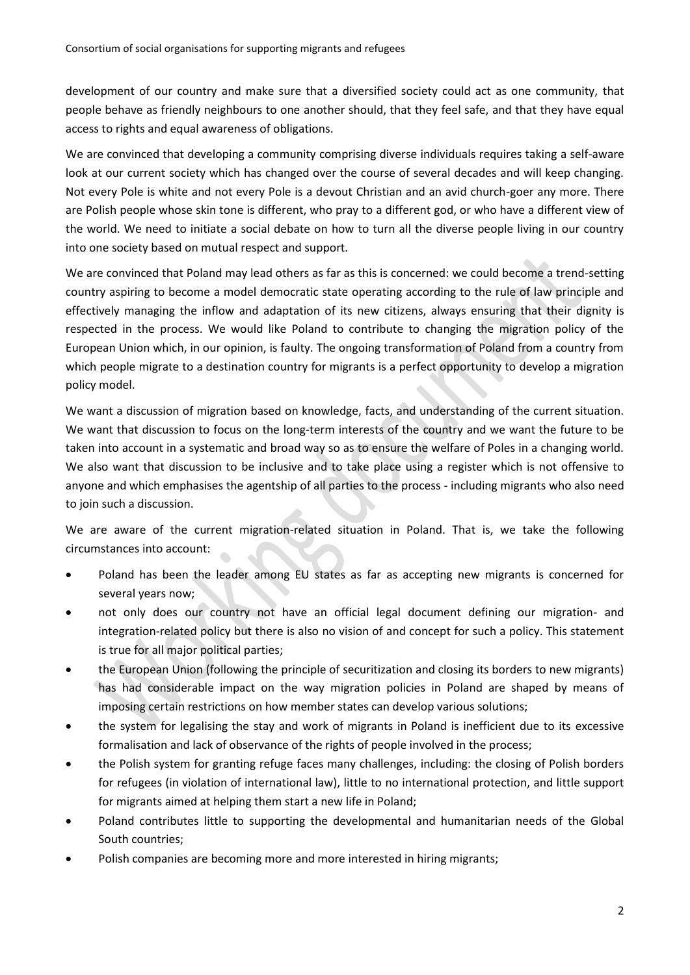development of our country and make sure that a diversified society could act as one community, that people behave as friendly neighbours to one another should, that they feel safe, and that they have equal access to rights and equal awareness of obligations.

We are convinced that developing a community comprising diverse individuals requires taking a self-aware look at our current society which has changed over the course of several decades and will keep changing. Not every Pole is white and not every Pole is a devout Christian and an avid church-goer any more. There are Polish people whose skin tone is different, who pray to a different god, or who have a different view of the world. We need to initiate a social debate on how to turn all the diverse people living in our country into one society based on mutual respect and support.

We are convinced that Poland may lead others as far as this is concerned: we could become a trend-setting country aspiring to become a model democratic state operating according to the rule of law principle and effectively managing the inflow and adaptation of its new citizens, always ensuring that their dignity is respected in the process. We would like Poland to contribute to changing the migration policy of the European Union which, in our opinion, is faulty. The ongoing transformation of Poland from a country from which people migrate to a destination country for migrants is a perfect opportunity to develop a migration policy model.

We want a discussion of migration based on knowledge, facts, and understanding of the current situation. We want that discussion to focus on the long-term interests of the country and we want the future to be taken into account in a systematic and broad way so as to ensure the welfare of Poles in a changing world. We also want that discussion to be inclusive and to take place using a register which is not offensive to anyone and which emphasises the agentship of all parties to the process - including migrants who also need to join such a discussion.

We are aware of the current migration-related situation in Poland. That is, we take the following circumstances into account:

- Poland has been the leader among EU states as far as accepting new migrants is concerned for several years now;
- not only does our country not have an official legal document defining our migration- and integration-related policy but there is also no vision of and concept for such a policy. This statement is true for all major political parties;
- the European Union (following the principle of securitization and closing its borders to new migrants) has had considerable impact on the way migration policies in Poland are shaped by means of imposing certain restrictions on how member states can develop various solutions;
- the system for legalising the stay and work of migrants in Poland is inefficient due to its excessive formalisation and lack of observance of the rights of people involved in the process;
- the Polish system for granting refuge faces many challenges, including: the closing of Polish borders for refugees (in violation of international law), little to no international protection, and little support for migrants aimed at helping them start a new life in Poland;
- Poland contributes little to supporting the developmental and humanitarian needs of the Global South countries;
- Polish companies are becoming more and more interested in hiring migrants;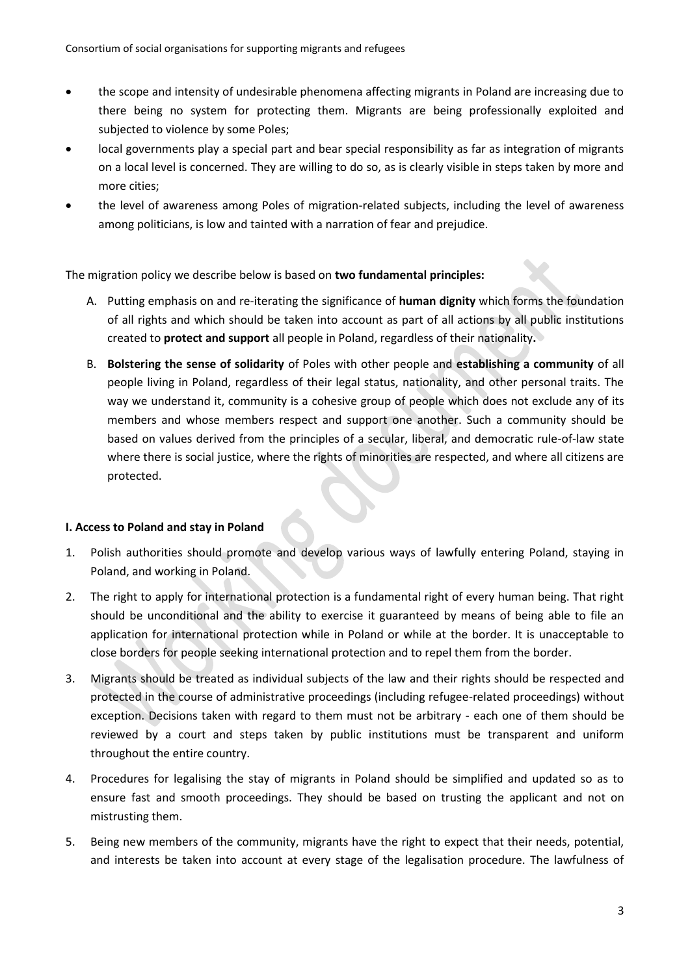- the scope and intensity of undesirable phenomena affecting migrants in Poland are increasing due to there being no system for protecting them. Migrants are being professionally exploited and subjected to violence by some Poles;
- local governments play a special part and bear special responsibility as far as integration of migrants on a local level is concerned. They are willing to do so, as is clearly visible in steps taken by more and more cities;
- the level of awareness among Poles of migration-related subjects, including the level of awareness among politicians, is low and tainted with a narration of fear and prejudice.

The migration policy we describe below is based on **two fundamental principles:**

- A. Putting emphasis on and re-iterating the significance of **human dignity** which forms the foundation of all rights and which should be taken into account as part of all actions by all public institutions created to **protect and support** all people in Poland, regardless of their nationality**.**
- B. **Bolstering the sense of solidarity** of Poles with other people and **establishing a community** of all people living in Poland, regardless of their legal status, nationality, and other personal traits. The way we understand it, community is a cohesive group of people which does not exclude any of its members and whose members respect and support one another. Such a community should be based on values derived from the principles of a secular, liberal, and democratic rule-of-law state where there is social justice, where the rights of minorities are respected, and where all citizens are protected.

#### **I. Access to Poland and stay in Poland**

- 1. Polish authorities should promote and develop various ways of lawfully entering Poland, staying in Poland, and working in Poland.
- 2. The right to apply for international protection is a fundamental right of every human being. That right should be unconditional and the ability to exercise it guaranteed by means of being able to file an application for international protection while in Poland or while at the border. It is unacceptable to close borders for people seeking international protection and to repel them from the border.
- 3. Migrants should be treated as individual subjects of the law and their rights should be respected and protected in the course of administrative proceedings (including refugee-related proceedings) without exception. Decisions taken with regard to them must not be arbitrary - each one of them should be reviewed by a court and steps taken by public institutions must be transparent and uniform throughout the entire country.
- 4. Procedures for legalising the stay of migrants in Poland should be simplified and updated so as to ensure fast and smooth proceedings. They should be based on trusting the applicant and not on mistrusting them.
- 5. Being new members of the community, migrants have the right to expect that their needs, potential, and interests be taken into account at every stage of the legalisation procedure. The lawfulness of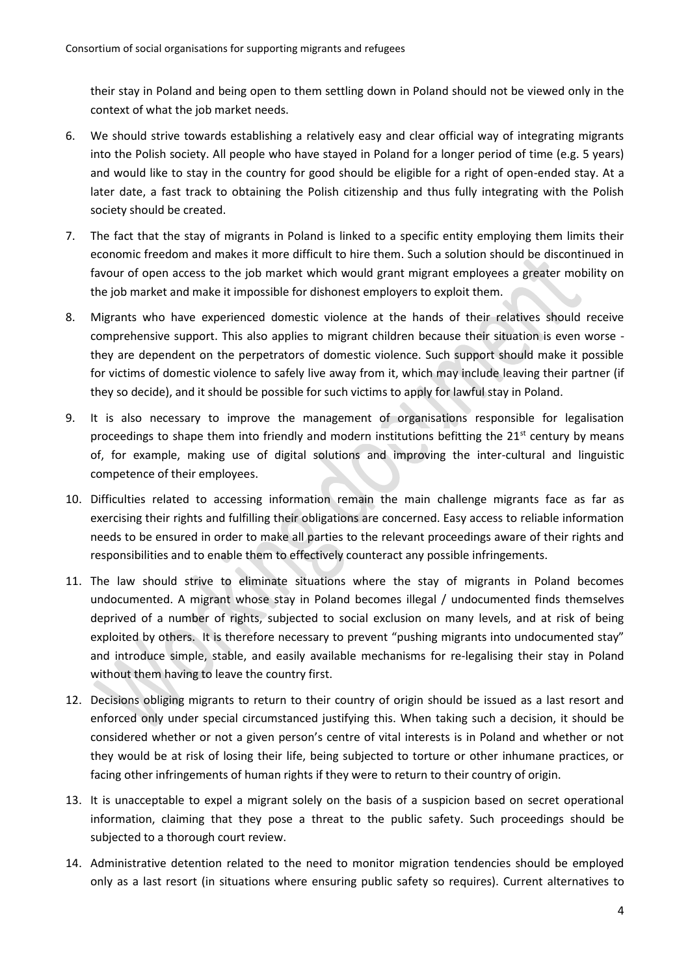their stay in Poland and being open to them settling down in Poland should not be viewed only in the context of what the job market needs.

- 6. We should strive towards establishing a relatively easy and clear official way of integrating migrants into the Polish society. All people who have stayed in Poland for a longer period of time (e.g. 5 years) and would like to stay in the country for good should be eligible for a right of open-ended stay. At a later date, a fast track to obtaining the Polish citizenship and thus fully integrating with the Polish society should be created.
- 7. The fact that the stay of migrants in Poland is linked to a specific entity employing them limits their economic freedom and makes it more difficult to hire them. Such a solution should be discontinued in favour of open access to the job market which would grant migrant employees a greater mobility on the job market and make it impossible for dishonest employers to exploit them.
- 8. Migrants who have experienced domestic violence at the hands of their relatives should receive comprehensive support. This also applies to migrant children because their situation is even worse they are dependent on the perpetrators of domestic violence. Such support should make it possible for victims of domestic violence to safely live away from it, which may include leaving their partner (if they so decide), and it should be possible for such victims to apply for lawful stay in Poland.
- 9. It is also necessary to improve the management of organisations responsible for legalisation proceedings to shape them into friendly and modern institutions befitting the 21<sup>st</sup> century by means of, for example, making use of digital solutions and improving the inter-cultural and linguistic competence of their employees.
- 10. Difficulties related to accessing information remain the main challenge migrants face as far as exercising their rights and fulfilling their obligations are concerned. Easy access to reliable information needs to be ensured in order to make all parties to the relevant proceedings aware of their rights and responsibilities and to enable them to effectively counteract any possible infringements.
- 11. The law should strive to eliminate situations where the stay of migrants in Poland becomes undocumented. A migrant whose stay in Poland becomes illegal / undocumented finds themselves deprived of a number of rights, subjected to social exclusion on many levels, and at risk of being exploited by others. It is therefore necessary to prevent "pushing migrants into undocumented stay" and introduce simple, stable, and easily available mechanisms for re-legalising their stay in Poland without them having to leave the country first.
- 12. Decisions obliging migrants to return to their country of origin should be issued as a last resort and enforced only under special circumstanced justifying this. When taking such a decision, it should be considered whether or not a given person's centre of vital interests is in Poland and whether or not they would be at risk of losing their life, being subjected to torture or other inhumane practices, or facing other infringements of human rights if they were to return to their country of origin.
- 13. It is unacceptable to expel a migrant solely on the basis of a suspicion based on secret operational information, claiming that they pose a threat to the public safety. Such proceedings should be subjected to a thorough court review.
- 14. Administrative detention related to the need to monitor migration tendencies should be employed only as a last resort (in situations where ensuring public safety so requires). Current alternatives to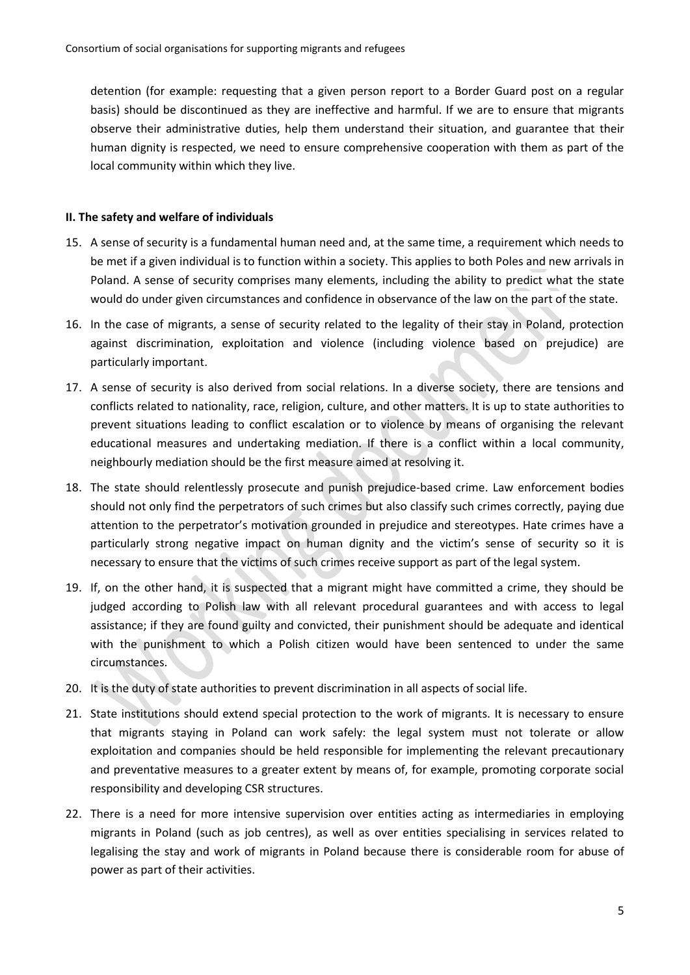detention (for example: requesting that a given person report to a Border Guard post on a regular basis) should be discontinued as they are ineffective and harmful. If we are to ensure that migrants observe their administrative duties, help them understand their situation, and guarantee that their human dignity is respected, we need to ensure comprehensive cooperation with them as part of the local community within which they live.

### **II. The safety and welfare of individuals**

- 15. A sense of security is a fundamental human need and, at the same time, a requirement which needs to be met if a given individual is to function within a society. This applies to both Poles and new arrivals in Poland. A sense of security comprises many elements, including the ability to predict what the state would do under given circumstances and confidence in observance of the law on the part of the state.
- 16. In the case of migrants, a sense of security related to the legality of their stay in Poland, protection against discrimination, exploitation and violence (including violence based on prejudice) are particularly important.
- 17. A sense of security is also derived from social relations. In a diverse society, there are tensions and conflicts related to nationality, race, religion, culture, and other matters. It is up to state authorities to prevent situations leading to conflict escalation or to violence by means of organising the relevant educational measures and undertaking mediation. If there is a conflict within a local community, neighbourly mediation should be the first measure aimed at resolving it.
- 18. The state should relentlessly prosecute and punish prejudice-based crime. Law enforcement bodies should not only find the perpetrators of such crimes but also classify such crimes correctly, paying due attention to the perpetrator's motivation grounded in prejudice and stereotypes. Hate crimes have a particularly strong negative impact on human dignity and the victim's sense of security so it is necessary to ensure that the victims of such crimes receive support as part of the legal system.
- 19. If, on the other hand, it is suspected that a migrant might have committed a crime, they should be judged according to Polish law with all relevant procedural guarantees and with access to legal assistance; if they are found guilty and convicted, their punishment should be adequate and identical with the punishment to which a Polish citizen would have been sentenced to under the same circumstances.
- 20. It is the duty of state authorities to prevent discrimination in all aspects of social life.
- 21. State institutions should extend special protection to the work of migrants. It is necessary to ensure that migrants staying in Poland can work safely: the legal system must not tolerate or allow exploitation and companies should be held responsible for implementing the relevant precautionary and preventative measures to a greater extent by means of, for example, promoting corporate social responsibility and developing CSR structures.
- 22. There is a need for more intensive supervision over entities acting as intermediaries in employing migrants in Poland (such as job centres), as well as over entities specialising in services related to legalising the stay and work of migrants in Poland because there is considerable room for abuse of power as part of their activities.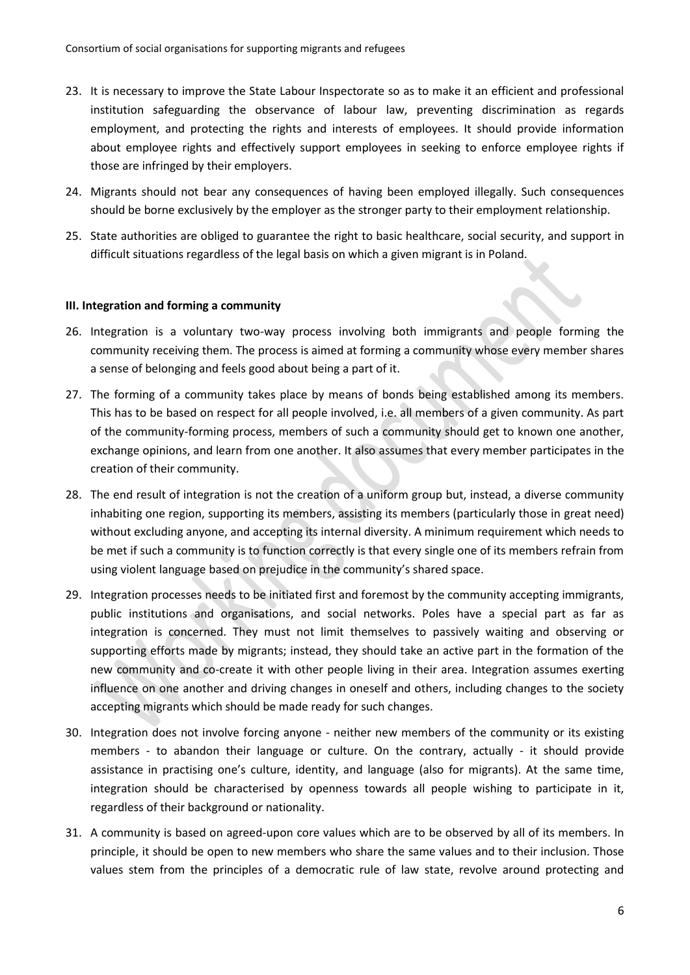- 23. It is necessary to improve the State Labour Inspectorate so as to make it an efficient and professional institution safeguarding the observance of labour law, preventing discrimination as regards employment, and protecting the rights and interests of employees. It should provide information about employee rights and effectively support employees in seeking to enforce employee rights if those are infringed by their employers.
- 24. Migrants should not bear any consequences of having been employed illegally. Such consequences should be borne exclusively by the employer as the stronger party to their employment relationship.
- 25. State authorities are obliged to guarantee the right to basic healthcare, social security, and support in difficult situations regardless of the legal basis on which a given migrant is in Poland.

#### **III. Integration and forming a community**

- 26. Integration is a voluntary two-way process involving both immigrants and people forming the community receiving them. The process is aimed at forming a community whose every member shares a sense of belonging and feels good about being a part of it.
- 27. The forming of a community takes place by means of bonds being established among its members. This has to be based on respect for all people involved, i.e. all members of a given community. As part of the community-forming process, members of such a community should get to known one another, exchange opinions, and learn from one another. It also assumes that every member participates in the creation of their community.
- 28. The end result of integration is not the creation of a uniform group but, instead, a diverse community inhabiting one region, supporting its members, assisting its members (particularly those in great need) without excluding anyone, and accepting its internal diversity. A minimum requirement which needs to be met if such a community is to function correctly is that every single one of its members refrain from using violent language based on prejudice in the community's shared space.
- 29. Integration processes needs to be initiated first and foremost by the community accepting immigrants, public institutions and organisations, and social networks. Poles have a special part as far as integration is concerned. They must not limit themselves to passively waiting and observing or supporting efforts made by migrants; instead, they should take an active part in the formation of the new community and co-create it with other people living in their area. Integration assumes exerting influence on one another and driving changes in oneself and others, including changes to the society accepting migrants which should be made ready for such changes.
- 30. Integration does not involve forcing anyone neither new members of the community or its existing members - to abandon their language or culture. On the contrary, actually - it should provide assistance in practising one's culture, identity, and language (also for migrants). At the same time, integration should be characterised by openness towards all people wishing to participate in it, regardless of their background or nationality.
- 31. A community is based on agreed-upon core values which are to be observed by all of its members. In principle, it should be open to new members who share the same values and to their inclusion. Those values stem from the principles of a democratic rule of law state, revolve around protecting and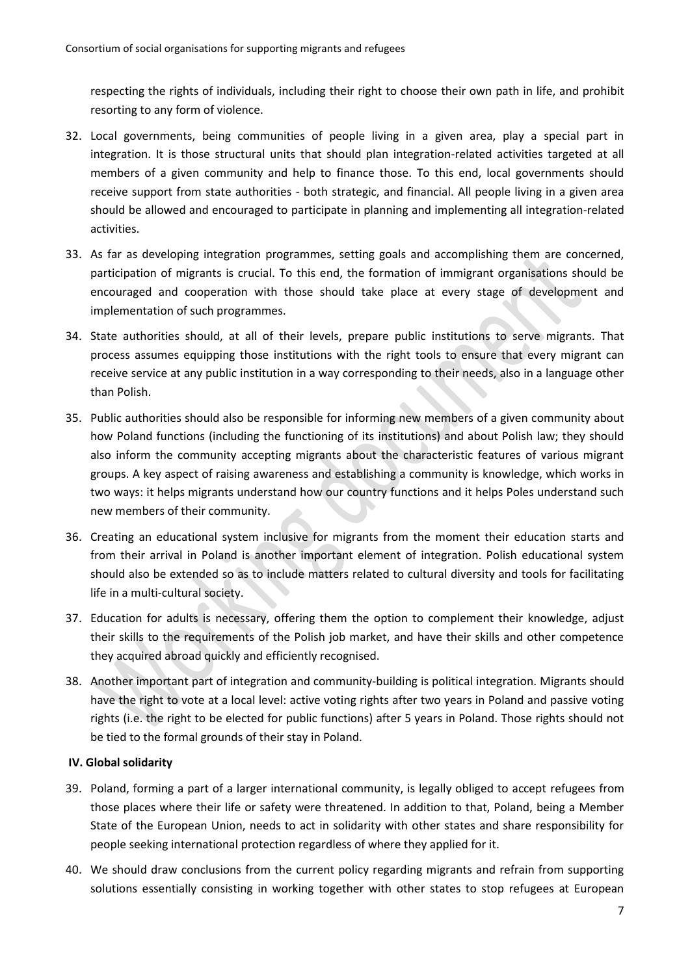respecting the rights of individuals, including their right to choose their own path in life, and prohibit resorting to any form of violence.

- 32. Local governments, being communities of people living in a given area, play a special part in integration. It is those structural units that should plan integration-related activities targeted at all members of a given community and help to finance those. To this end, local governments should receive support from state authorities - both strategic, and financial. All people living in a given area should be allowed and encouraged to participate in planning and implementing all integration-related activities.
- 33. As far as developing integration programmes, setting goals and accomplishing them are concerned, participation of migrants is crucial. To this end, the formation of immigrant organisations should be encouraged and cooperation with those should take place at every stage of development and implementation of such programmes.
- 34. State authorities should, at all of their levels, prepare public institutions to serve migrants. That process assumes equipping those institutions with the right tools to ensure that every migrant can receive service at any public institution in a way corresponding to their needs, also in a language other than Polish.
- 35. Public authorities should also be responsible for informing new members of a given community about how Poland functions (including the functioning of its institutions) and about Polish law; they should also inform the community accepting migrants about the characteristic features of various migrant groups. A key aspect of raising awareness and establishing a community is knowledge, which works in two ways: it helps migrants understand how our country functions and it helps Poles understand such new members of their community.
- 36. Creating an educational system inclusive for migrants from the moment their education starts and from their arrival in Poland is another important element of integration. Polish educational system should also be extended so as to include matters related to cultural diversity and tools for facilitating life in a multi-cultural society.
- 37. Education for adults is necessary, offering them the option to complement their knowledge, adjust their skills to the requirements of the Polish job market, and have their skills and other competence they acquired abroad quickly and efficiently recognised.
- 38. Another important part of integration and community-building is political integration. Migrants should have the right to vote at a local level: active voting rights after two years in Poland and passive voting rights (i.e. the right to be elected for public functions) after 5 years in Poland. Those rights should not be tied to the formal grounds of their stay in Poland.

## **IV. Global solidarity**

- 39. Poland, forming a part of a larger international community, is legally obliged to accept refugees from those places where their life or safety were threatened. In addition to that, Poland, being a Member State of the European Union, needs to act in solidarity with other states and share responsibility for people seeking international protection regardless of where they applied for it.
- 40. We should draw conclusions from the current policy regarding migrants and refrain from supporting solutions essentially consisting in working together with other states to stop refugees at European